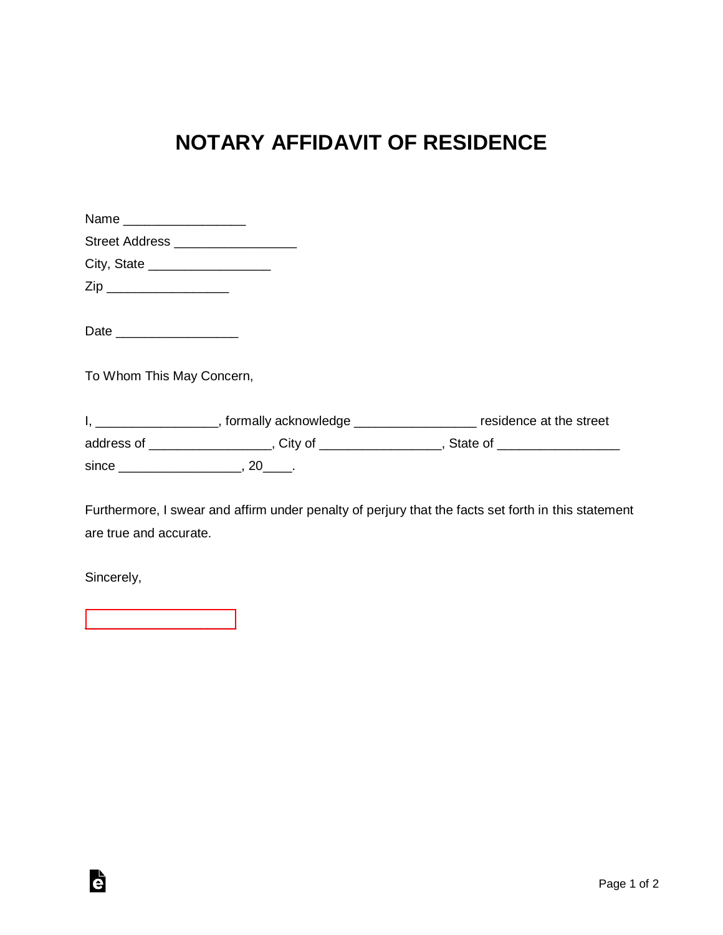## **NOTARY AFFIDAVIT OF RESIDENCE**

| Name ____________________       |                                    |                                                                                            |
|---------------------------------|------------------------------------|--------------------------------------------------------------------------------------------|
|                                 | Street Address ___________________ |                                                                                            |
| City, State ___________________ |                                    |                                                                                            |
|                                 |                                    |                                                                                            |
| Date __________________         |                                    |                                                                                            |
| To Whom This May Concern,       |                                    |                                                                                            |
|                                 |                                    | I, ____________________, formally acknowledge ____________________ residence at the street |
|                                 |                                    | address of ___________________, City of _________________, State of __________________     |
|                                 |                                    |                                                                                            |

Furthermore, I swear and affirm under penalty of perjury that the facts set forth in this statement are true and accurate.

Sincerely,

Ġ

[\\_\\_\\_\\_\\_\\_\\_\\_\\_\\_\\_\\_\\_\\_\\_\\_\\_\\_\\_\\_\\_](https://esign.com)